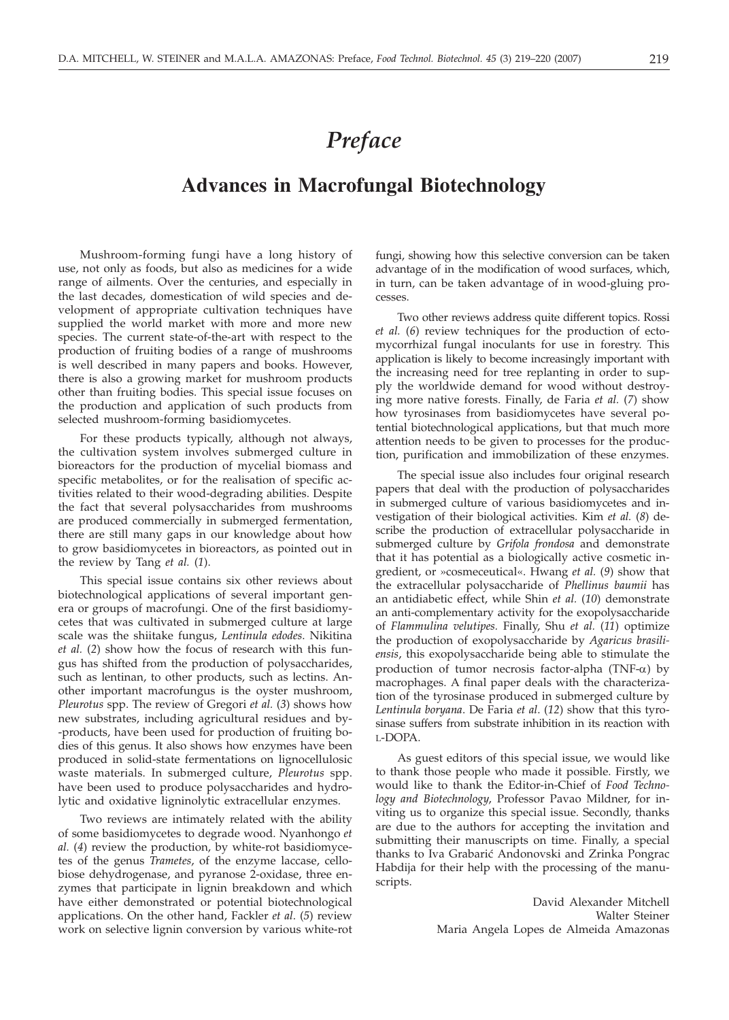## *Preface*

## **Advances in Macrofungal Biotechnology**

Mushroom-forming fungi have a long history of use, not only as foods, but also as medicines for a wide range of ailments. Over the centuries, and especially in the last decades, domestication of wild species and development of appropriate cultivation techniques have supplied the world market with more and more new species. The current state-of-the-art with respect to the production of fruiting bodies of a range of mushrooms is well described in many papers and books. However, there is also a growing market for mushroom products other than fruiting bodies. This special issue focuses on the production and application of such products from selected mushroom-forming basidiomycetes.

For these products typically, although not always, the cultivation system involves submerged culture in bioreactors for the production of mycelial biomass and specific metabolites, or for the realisation of specific activities related to their wood-degrading abilities. Despite the fact that several polysaccharides from mushrooms are produced commercially in submerged fermentation, there are still many gaps in our knowledge about how to grow basidiomycetes in bioreactors, as pointed out in the review by Tang *et al.* (*1*).

This special issue contains six other reviews about biotechnological applications of several important genera or groups of macrofungi. One of the first basidiomycetes that was cultivated in submerged culture at large scale was the shiitake fungus, *Lentinula edodes*. Nikitina *et al.* (*2*) show how the focus of research with this fungus has shifted from the production of polysaccharides, such as lentinan, to other products, such as lectins. Another important macrofungus is the oyster mushroom, *Pleurotus* spp. The review of Gregori *et al.* (*3*) shows how new substrates, including agricultural residues and by- -products, have been used for production of fruiting bodies of this genus. It also shows how enzymes have been produced in solid-state fermentations on lignocellulosic waste materials. In submerged culture, *Pleurotus* spp. have been used to produce polysaccharides and hydrolytic and oxidative ligninolytic extracellular enzymes.

Two reviews are intimately related with the ability of some basidiomycetes to degrade wood. Nyanhongo *et al.* (*4*) review the production, by white-rot basidiomycetes of the genus *Trametes*, of the enzyme laccase, cellobiose dehydrogenase, and pyranose 2-oxidase, three enzymes that participate in lignin breakdown and which have either demonstrated or potential biotechnological applications. On the other hand, Fackler *et al*. (*5*) review work on selective lignin conversion by various white-rot

fungi, showing how this selective conversion can be taken advantage of in the modification of wood surfaces, which, in turn, can be taken advantage of in wood-gluing processes.

Two other reviews address quite different topics. Rossi *et al.* (*6*) review techniques for the production of ectomycorrhizal fungal inoculants for use in forestry. This application is likely to become increasingly important with the increasing need for tree replanting in order to supply the worldwide demand for wood without destroying more native forests. Finally, de Faria *et al.* (*7*) show how tyrosinases from basidiomycetes have several potential biotechnological applications, but that much more attention needs to be given to processes for the production, purification and immobilization of these enzymes.

The special issue also includes four original research papers that deal with the production of polysaccharides in submerged culture of various basidiomycetes and investigation of their biological activities. Kim *et al.* (*8*) describe the production of extracellular polysaccharide in submerged culture by *Grifola frondosa* and demonstrate that it has potential as a biologically active cosmetic ingredient, or »cosmeceutical«. Hwang *et al.* (*9*) show that the extracellular polysaccharide of *Phellinus baumii* has an antidiabetic effect, while Shin *et al.* (*10*) demonstrate an anti-complementary activity for the exopolysaccharide of *Flammulina velutipes.* Finally, Shu *et al.* (*11*) optimize the production of exopolysaccharide by *Agaricus brasiliensis*, this exopolysaccharide being able to stimulate the production of tumor necrosis factor-alpha (TNF-*a*) by macrophages. A final paper deals with the characterization of the tyrosinase produced in submerged culture by *Lentinula boryana*. De Faria *et al*. (*12*) show that this tyrosinase suffers from substrate inhibition in its reaction with L-DOPA.

As guest editors of this special issue, we would like to thank those people who made it possible. Firstly, we would like to thank the Editor-in-Chief of *Food Technology and Biotechnology*, Professor Pavao Mildner, for inviting us to organize this special issue. Secondly, thanks are due to the authors for accepting the invitation and submitting their manuscripts on time. Finally, a special thanks to Iva Grabarić Andonovski and Zrinka Pongrac Habdija for their help with the processing of the manuscripts.

> David Alexander Mitchell Walter Steiner Maria Angela Lopes de Almeida Amazonas